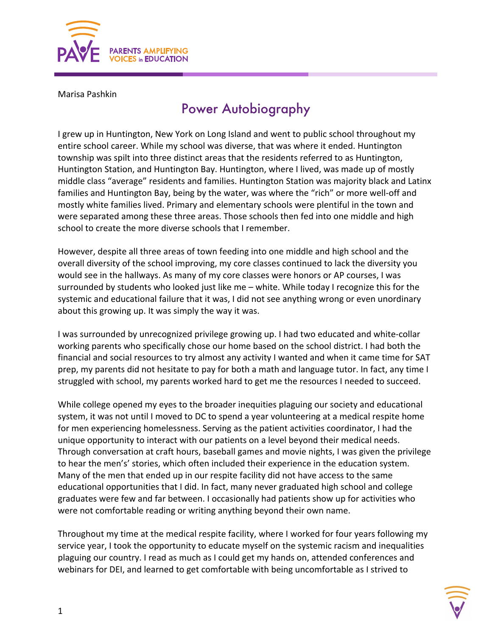

Marisa Pashkin

## Power Autobiography

I grew up in Huntington, New York on Long Island and went to public school throughout my entire school career. While my school was diverse, that was where it ended. Huntington township was spilt into three distinct areas that the residents referred to as Huntington, Huntington Station, and Huntington Bay. Huntington, where I lived, was made up of mostly middle class "average" residents and families. Huntington Station was majority black and Latinx families and Huntington Bay, being by the water, was where the "rich" or more well-off and mostly white families lived. Primary and elementary schools were plentiful in the town and were separated among these three areas. Those schools then fed into one middle and high school to create the more diverse schools that I remember.

However, despite all three areas of town feeding into one middle and high school and the overall diversity of the school improving, my core classes continued to lack the diversity you would see in the hallways. As many of my core classes were honors or AP courses, I was surrounded by students who looked just like me – white. While today I recognize this for the systemic and educational failure that it was, I did not see anything wrong or even unordinary about this growing up. It was simply the way it was.

I was surrounded by unrecognized privilege growing up. I had two educated and white-collar working parents who specifically chose our home based on the school district. I had both the financial and social resources to try almost any activity I wanted and when it came time for SAT prep, my parents did not hesitate to pay for both a math and language tutor. In fact, any time I struggled with school, my parents worked hard to get me the resources I needed to succeed.

While college opened my eyes to the broader inequities plaguing our society and educational system, it was not until I moved to DC to spend a year volunteering at a medical respite home for men experiencing homelessness. Serving as the patient activities coordinator, I had the unique opportunity to interact with our patients on a level beyond their medical needs. Through conversation at craft hours, baseball games and movie nights, I was given the privilege to hear the men's' stories, which often included their experience in the education system. Many of the men that ended up in our respite facility did not have access to the same educational opportunities that I did. In fact, many never graduated high school and college graduates were few and far between. I occasionally had patients show up for activities who were not comfortable reading or writing anything beyond their own name.

Throughout my time at the medical respite facility, where I worked for four years following my service year, I took the opportunity to educate myself on the systemic racism and inequalities plaguing our country. I read as much as I could get my hands on, attended conferences and webinars for DEI, and learned to get comfortable with being uncomfortable as I strived to